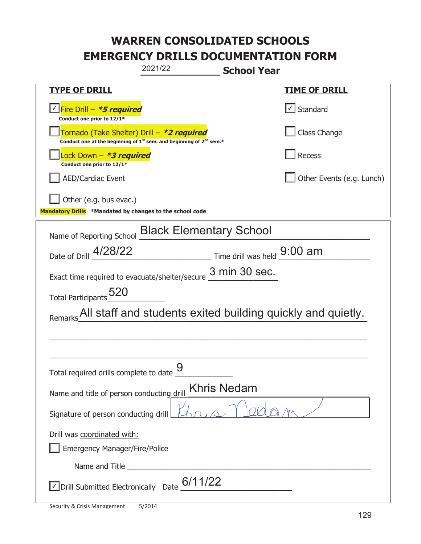|                                                                                                                                           | 2021/22 | <b>School Year</b>            |
|-------------------------------------------------------------------------------------------------------------------------------------------|---------|-------------------------------|
| <b>TYPE OF DRILL</b>                                                                                                                      |         | <b>TIME OF DRILL</b>          |
| <u>√ Fire Drill – <b>*5 required</b></u><br>Conduct one prior to 12/1*                                                                    |         | $\sqrt{\phantom{a}}$ Standard |
| Tornado (Take Shelter) Drill - *2 required<br>Conduct one at the beginning of 1 <sup>st</sup> sem. and beginning of 2 <sup>nd</sup> sem.* |         | Class Change                  |
| Lock Down - <b>*3 required</b><br>Conduct one prior to 12/1*                                                                              |         | Recess                        |
| <b>AED/Cardiac Event</b>                                                                                                                  |         | Other Events (e.g. Lunch)     |
| Other (e.g. bus evac.)<br>Mandatory Drills *Mandated by changes to the school code                                                        |         |                               |
| Name of Reporting School Black Elementary School                                                                                          |         |                               |
| Date of Drill 4/28/22                                                                                                                     |         | Time drill was held 9:00 am   |
| Exact time required to evacuate/shelter/secure $\frac{3 \text{ min } 30 \text{ sec}}{2}$ .                                                |         |                               |
| Total Participants 520                                                                                                                    |         |                               |
| Remarks All staff and students exited building quickly and quietly.                                                                       |         |                               |
|                                                                                                                                           |         |                               |
|                                                                                                                                           |         |                               |
| Total required drills complete to date $\frac{9}{6}$                                                                                      |         |                               |
| Khris Nedam<br>Name and title of person conducting drill                                                                                  |         |                               |
| Signature of person conducting drill                                                                                                      |         |                               |
| Drill was coordinated with:<br>Emergency Manager/Fire/Police                                                                              |         |                               |
|                                                                                                                                           |         |                               |
| $\vee$ Drill Submitted Electronically Date $6/11/22$                                                                                      |         |                               |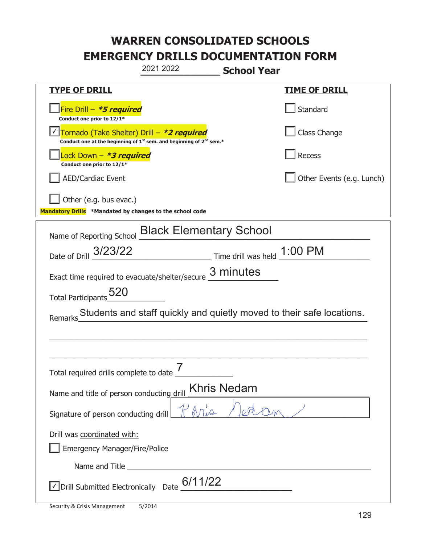| 2021 2022<br><b>School Year</b>                                                                                                           |                             |  |
|-------------------------------------------------------------------------------------------------------------------------------------------|-----------------------------|--|
| <b>TYPE OF DRILL</b>                                                                                                                      | <u>TIME OF DRILL</u>        |  |
| Fire Drill - *5 required<br>Conduct one prior to 12/1*                                                                                    | Standard                    |  |
| Tornado (Take Shelter) Drill - *2 required<br>Conduct one at the beginning of 1 <sup>st</sup> sem. and beginning of 2 <sup>nd</sup> sem.* | Class Change                |  |
| Lock Down - <b>*3 required</b><br>Conduct one prior to 12/1*                                                                              | Recess                      |  |
| <b>AED/Cardiac Event</b>                                                                                                                  | Other Events (e.g. Lunch)   |  |
| Other (e.g. bus evac.)<br>Mandatory Drills *Mandated by changes to the school code                                                        |                             |  |
| Name of Reporting School <b>Black Elementary School</b>                                                                                   |                             |  |
| Date of Drill 3/23/22                                                                                                                     | Time drill was held 1:00 PM |  |
| Exact time required to evacuate/shelter/secure $\underline{3}$ minutes                                                                    |                             |  |
| Total Participants 520                                                                                                                    |                             |  |
| Students and staff quickly and quietly moved to their safe locations.<br>Remarks                                                          |                             |  |
|                                                                                                                                           |                             |  |
|                                                                                                                                           |                             |  |
| 7<br>Total required drills complete to date                                                                                               |                             |  |
| <b>Khris Nedam</b><br>Name and title of person conducting drill                                                                           |                             |  |
| Signature of person conducting drill                                                                                                      |                             |  |
| Drill was coordinated with:<br><b>Emergency Manager/Fire/Police</b>                                                                       |                             |  |
| Name and Title <b>Name and Title</b>                                                                                                      |                             |  |
| $\sqrt{2}$ Drill Submitted Electronically Date $6/11/22$                                                                                  |                             |  |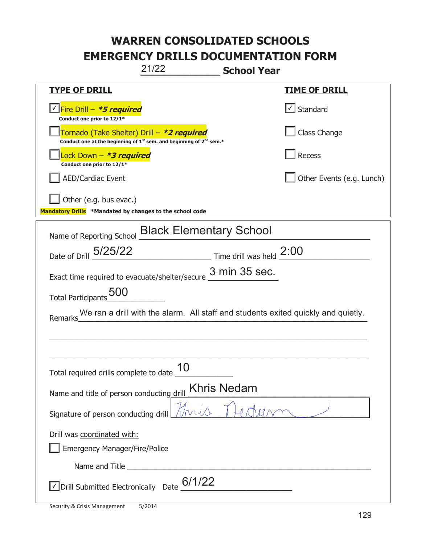# **WARREN CONSOLIDATED SCHOOLS**

# **EMERGENCY DRILLS DOCUMENTATION FORM**

**\_\_\_\_\_\_\_\_\_\_\_\_\_ School Year**  21/22

|                                                                                                                                           | <b>SCHOOL TEGE</b>        |  |  |
|-------------------------------------------------------------------------------------------------------------------------------------------|---------------------------|--|--|
| <b>TYPE OF DRILL</b>                                                                                                                      | <b>TIME OF DRILL</b>      |  |  |
| <u>√ Fire Drill – <i>*5 required</i></u><br>Conduct one prior to 12/1*                                                                    | √ Standard                |  |  |
| Tornado (Take Shelter) Drill – *2 required<br>Conduct one at the beginning of 1 <sup>st</sup> sem. and beginning of 2 <sup>nd</sup> sem.* | Class Change              |  |  |
| Lock Down - <b>*3 required</b><br>Conduct one prior to 12/1*                                                                              | Recess                    |  |  |
| <b>AED/Cardiac Event</b>                                                                                                                  | Other Events (e.g. Lunch) |  |  |
| Other (e.g. bus evac.)                                                                                                                    |                           |  |  |
| Mandatory Drills *Mandated by changes to the school code                                                                                  |                           |  |  |
| Name of Reporting School <b>Black Elementary School</b>                                                                                   |                           |  |  |
| Date of Drill 5/25/22 Time drill was held 2:00                                                                                            |                           |  |  |
| Exact time required to evacuate/shelter/secure $\frac{3 \text{ min}}{2}$ 35 Sec.                                                          |                           |  |  |
| Total Participants_500                                                                                                                    |                           |  |  |
| We ran a drill with the alarm. All staff and students exited quickly and quietly.<br>Remarks                                              |                           |  |  |
|                                                                                                                                           |                           |  |  |
|                                                                                                                                           |                           |  |  |
| Total required drills complete to date                                                                                                    |                           |  |  |
| <b>Khris Nedam</b><br>Name and title of person conducting drill                                                                           |                           |  |  |
| Signature of person conducting drill                                                                                                      |                           |  |  |
| Drill was coordinated with:                                                                                                               |                           |  |  |
| <b>Emergency Manager/Fire/Police</b>                                                                                                      |                           |  |  |
|                                                                                                                                           |                           |  |  |
| 6/1/22<br>√ Drill Submitted Electronically Date                                                                                           |                           |  |  |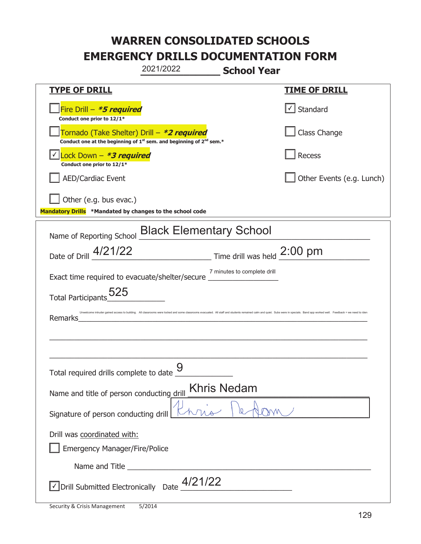|                                                                                    | 2021/2022                                                                                   | <b>School Year</b>            |                                                                                                                                                                                                                                |
|------------------------------------------------------------------------------------|---------------------------------------------------------------------------------------------|-------------------------------|--------------------------------------------------------------------------------------------------------------------------------------------------------------------------------------------------------------------------------|
| <b>TYPE OF DRILL</b>                                                               |                                                                                             |                               | <u>TIME OF DRILL</u>                                                                                                                                                                                                           |
| Fire Drill - *5 required<br>Conduct one prior to 12/1*                             |                                                                                             |                               | Standard                                                                                                                                                                                                                       |
| Tornado (Take Shelter) Drill – *2 required                                         | Conduct one at the beginning of 1 <sup>st</sup> sem. and beginning of 2 <sup>nd</sup> sem.* |                               | Class Change                                                                                                                                                                                                                   |
| Lock Down - *3 required<br>Conduct one prior to 12/1*                              |                                                                                             |                               | Recess                                                                                                                                                                                                                         |
| <b>AED/Cardiac Event</b>                                                           |                                                                                             |                               | Other Events (e.g. Lunch)                                                                                                                                                                                                      |
| Other (e.g. bus evac.)<br>Mandatory Drills *Mandated by changes to the school code |                                                                                             |                               |                                                                                                                                                                                                                                |
| Name of Reporting School <b>Black Elementary School</b>                            |                                                                                             |                               |                                                                                                                                                                                                                                |
| Date of Drill 4/21/22                                                              |                                                                                             | Time drill was held $2:00$ pm |                                                                                                                                                                                                                                |
| Exact time required to evacuate/shelter/secure                                     |                                                                                             | 7 minutes to complete drill   |                                                                                                                                                                                                                                |
| 525<br>Total Participants                                                          |                                                                                             |                               |                                                                                                                                                                                                                                |
| Remarks                                                                            |                                                                                             |                               | Unwelcome intruder gained access to building. All classrooms were locked and some classrooms evacuated. All staff and students remained calm and quiet. Subs were in specials. Band app worked well. Feedback = we need to ide |
|                                                                                    |                                                                                             |                               |                                                                                                                                                                                                                                |
|                                                                                    |                                                                                             |                               |                                                                                                                                                                                                                                |
| Total required drills complete to date _                                           | 9                                                                                           |                               |                                                                                                                                                                                                                                |
| Name and title of person conducting drill                                          |                                                                                             | Khris Nedam                   |                                                                                                                                                                                                                                |
| Signature of person conducting drill                                               |                                                                                             |                               |                                                                                                                                                                                                                                |
| Drill was coordinated with:<br><b>Emergency Manager/Fire/Police</b>                |                                                                                             |                               |                                                                                                                                                                                                                                |
|                                                                                    |                                                                                             |                               |                                                                                                                                                                                                                                |
| Drill Submitted Electronically Date                                                | 4/21/22                                                                                     |                               |                                                                                                                                                                                                                                |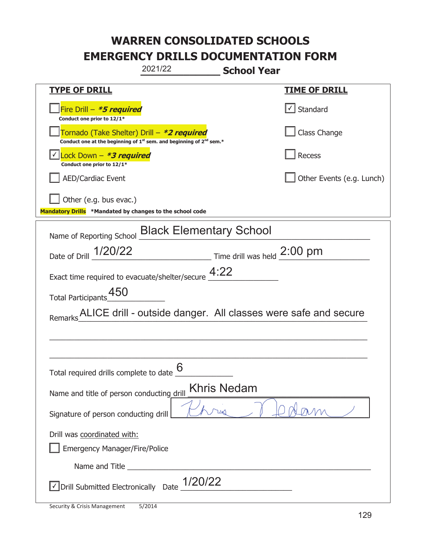|                                                                                                                                           | 2021/22 | <b>School Year</b>                                    |                                                                |
|-------------------------------------------------------------------------------------------------------------------------------------------|---------|-------------------------------------------------------|----------------------------------------------------------------|
| <u>TYPE OF DRILL</u>                                                                                                                      |         |                                                       | <u>TIME OF DRILL</u>                                           |
| Fire Drill - *5 required<br>Conduct one prior to 12/1*                                                                                    |         |                                                       | Standard                                                       |
| Tornado (Take Shelter) Drill – *2 required<br>Conduct one at the beginning of 1 <sup>st</sup> sem. and beginning of 2 <sup>nd</sup> sem.* |         |                                                       | Class Change                                                   |
| Lock Down - *3 required<br>Conduct one prior to 12/1*                                                                                     |         |                                                       | Recess                                                         |
| <b>AED/Cardiac Event</b>                                                                                                                  |         |                                                       | Other Events (e.g. Lunch)                                      |
| Other (e.g. bus evac.)<br>Mandatory Drills *Mandated by changes to the school code                                                        |         |                                                       |                                                                |
| Name of Reporting School <b>Black Elementary School</b>                                                                                   |         |                                                       |                                                                |
| Date of Drill 1/20/22                                                                                                                     |         | $\frac{1}{2}$ Time drill was held $\frac{2:00}{1}$ pm |                                                                |
| Exact time required to evacuate/shelter/secure $4:22$                                                                                     |         |                                                       |                                                                |
| Total Participants_450                                                                                                                    |         |                                                       |                                                                |
| Remarks                                                                                                                                   |         |                                                       | ALICE drill - outside danger. All classes were safe and secure |
|                                                                                                                                           |         |                                                       |                                                                |
|                                                                                                                                           |         |                                                       |                                                                |
| Total required drills complete to date                                                                                                    | 6       |                                                       |                                                                |
| Name and title of person conducting drill                                                                                                 |         | <b>Khris Nedam</b>                                    |                                                                |
| Signature of person conducting drill                                                                                                      |         |                                                       |                                                                |
| Drill was coordinated with:<br><b>Emergency Manager/Fire/Police</b>                                                                       |         |                                                       |                                                                |
|                                                                                                                                           |         |                                                       |                                                                |
| √ Drill Submitted Electronically Date                                                                                                     | /20/22  |                                                       |                                                                |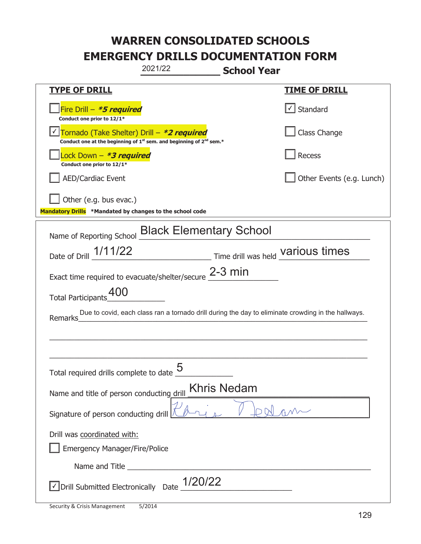| 2021/22<br><b>School Year</b>                                                                                               |                                          |  |  |
|-----------------------------------------------------------------------------------------------------------------------------|------------------------------------------|--|--|
| <b>TYPE OF DRILL</b>                                                                                                        | <u>TIME OF DRILL</u>                     |  |  |
| Fire Drill - *5 required<br>Conduct one prior to 12/1*                                                                      | $\vert \cdot \vert$ Standard             |  |  |
| Tornado (Take Shelter) Drill - *2 required<br>Conduct one at the beginning of $1^{st}$ sem. and beginning of $2^{nd}$ sem.* | Class Change                             |  |  |
| Lock Down – <i>*<b>3 required</b></i><br>Conduct one prior to 12/1*                                                         | Recess                                   |  |  |
| <b>AED/Cardiac Event</b>                                                                                                    | Other Events (e.g. Lunch)                |  |  |
| Other (e.g. bus evac.)<br>Mandatory Drills *Mandated by changes to the school code                                          |                                          |  |  |
| Name of Reporting School <b>Black Elementary School</b>                                                                     |                                          |  |  |
| Date of Drill 1/11/22                                                                                                       | Time drill was held <b>Various times</b> |  |  |
| Exact time required to evacuate/shelter/secure 2-3 min                                                                      |                                          |  |  |
| 400<br><b>Total Participants</b>                                                                                            |                                          |  |  |
| Due to covid, each class ran a tornado drill during the day to eliminate crowding in the hallways.<br>Remarks               |                                          |  |  |
|                                                                                                                             |                                          |  |  |
|                                                                                                                             |                                          |  |  |
| 5<br>Total required drills complete to date                                                                                 |                                          |  |  |
| <b>Khris Nedam</b><br>Name and title of person conducting drill                                                             |                                          |  |  |
| Signature of person conducting drill                                                                                        |                                          |  |  |
| Drill was coordinated with:<br><b>Emergency Manager/Fire/Police</b>                                                         |                                          |  |  |
|                                                                                                                             |                                          |  |  |
| $\sqrt{\frac{1}{20}}$ Drill Submitted Electronically Date $\frac{1}{20/22}$                                                 |                                          |  |  |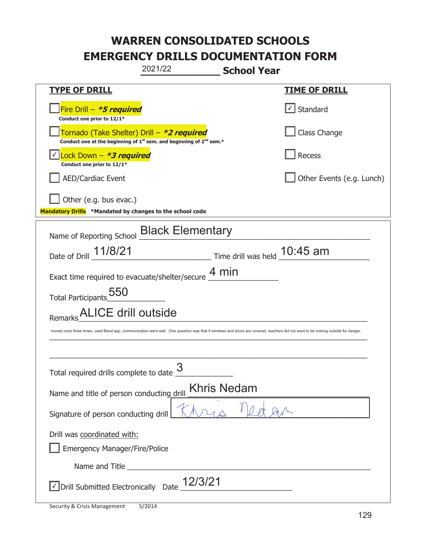|                                                                                    | 2021/22                                                                       | <b>School Year</b>                                                                                                                                                              |
|------------------------------------------------------------------------------------|-------------------------------------------------------------------------------|---------------------------------------------------------------------------------------------------------------------------------------------------------------------------------|
| <b>TYPE OF DRILL</b>                                                               |                                                                               | <u>TIME OF DRILL</u>                                                                                                                                                            |
| Fire Drill - *5 required<br>Conduct one prior to 12/1*                             |                                                                               | $\sf I$ Standard                                                                                                                                                                |
| Tornado (Take Shelter) Drill – *2 required                                         | Conduct one at the beginning of $1^{st}$ sem. and beginning of $2^{nd}$ sem.* | Class Change                                                                                                                                                                    |
| ock Down - <b>*3 required</b><br>Conduct one prior to 12/1*                        |                                                                               | Recess                                                                                                                                                                          |
| <b>AED/Cardiac Event</b>                                                           |                                                                               | Other Events (e.g. Lunch)                                                                                                                                                       |
| Other (e.g. bus evac.)<br>Mandatory Drills *Mandated by changes to the school code |                                                                               |                                                                                                                                                                                 |
|                                                                                    | Name of Reporting School Black Elementary                                     |                                                                                                                                                                                 |
| Date of Drill 11/8/21                                                              |                                                                               | Time drill was held 10:45 am                                                                                                                                                    |
|                                                                                    | Exact time required to evacuate/shelter/secure $\underline{4}\,\text{min}$    |                                                                                                                                                                                 |
| Total Participants 550                                                             |                                                                               |                                                                                                                                                                                 |
| ALICE drill outside<br>Remarks                                                     |                                                                               |                                                                                                                                                                                 |
|                                                                                    |                                                                               | moved cone three times, used Band app, communication went well. One question was that if windows and doors are covered, teachers did not want to be looking outside for danger. |
|                                                                                    |                                                                               |                                                                                                                                                                                 |
| Total required drills complete to date                                             | 3                                                                             |                                                                                                                                                                                 |
| <b>Khris Nedam</b><br>Name and title of person conducting drill                    |                                                                               |                                                                                                                                                                                 |
| Signature of person conducting drill                                               |                                                                               |                                                                                                                                                                                 |
| Drill was coordinated with:<br><b>Emergency Manager/Fire/Police</b>                |                                                                               |                                                                                                                                                                                 |
|                                                                                    |                                                                               |                                                                                                                                                                                 |
| Drill Submitted Electronically Date                                                | 12/3/21                                                                       |                                                                                                                                                                                 |

t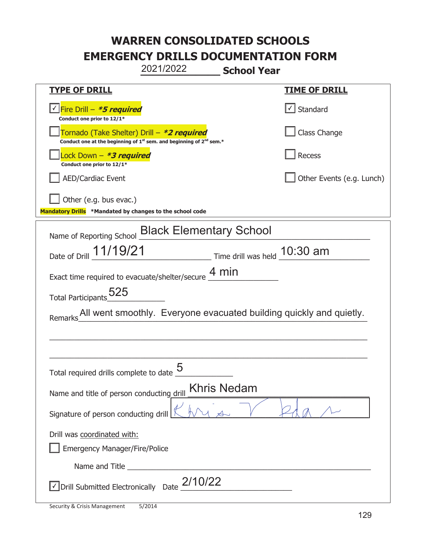# **WARREN CONSOLIDATED SCHOOLS**

**EMERGENCY DRILLS DOCUMENTATION FORM** 

**\_\_\_\_\_\_\_\_\_\_\_\_\_ School Year**  2021/2022

| <u>TYPE OF DRILL</u>                                                                                                                      | <b>TIME OF DRILL</b>                             |  |
|-------------------------------------------------------------------------------------------------------------------------------------------|--------------------------------------------------|--|
| √Fire Drill – <i>*<b>5 required</b></i><br>Conduct one prior to 12/1*                                                                     | $\vert\textcolor{red}{\checkmark}\vert$ Standard |  |
| Tornado (Take Shelter) Drill – *2 required<br>Conduct one at the beginning of 1 <sup>st</sup> sem. and beginning of 2 <sup>nd</sup> sem.* | Class Change                                     |  |
| Lock Down – <b>*<i>3 required</i></b><br>Conduct one prior to 12/1*                                                                       | Recess                                           |  |
| <b>AED/Cardiac Event</b>                                                                                                                  | Other Events (e.g. Lunch)                        |  |
| Other (e.g. bus evac.)                                                                                                                    |                                                  |  |
| Mandatory Drills *Mandated by changes to the school code                                                                                  |                                                  |  |
| Name of Reporting School Black Elementary School                                                                                          |                                                  |  |
| Date of Drill 11/19/21 Time drill was held 10:30 am                                                                                       |                                                  |  |
| Exact time required to evacuate/shelter/secure $\frac{4 \text{ min}}{4}$                                                                  |                                                  |  |
| Total Participants <sub>2</sub> 525                                                                                                       |                                                  |  |
| All went smoothly. Everyone evacuated building quickly and quietly.<br>Remarks                                                            |                                                  |  |
|                                                                                                                                           |                                                  |  |
|                                                                                                                                           |                                                  |  |
| Total required drills complete to date                                                                                                    |                                                  |  |
| <b>Khris Nedam</b><br>Name and title of person conducting drill                                                                           |                                                  |  |
| Signature of person conducting drill                                                                                                      |                                                  |  |
| Drill was coordinated with:                                                                                                               |                                                  |  |
| <b>Emergency Manager/Fire/Police</b>                                                                                                      |                                                  |  |
|                                                                                                                                           |                                                  |  |
| $\vee$ Drill Submitted Electronically Date $_2$ 2/10/22                                                                                   |                                                  |  |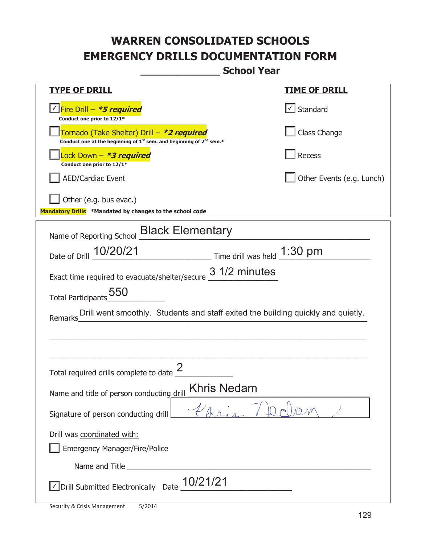**\_\_\_\_\_\_\_\_\_\_\_\_\_ School Year** 

| <u>TYPE OF DRILL</u>                                                                                                                      | <u>TIME OF DRILL</u>              |  |
|-------------------------------------------------------------------------------------------------------------------------------------------|-----------------------------------|--|
| <u>√ Fire Drill – <i>*5 required</i></u><br>Conduct one prior to 12/1*                                                                    | $\lfloor \angle \rfloor$ Standard |  |
| Tornado (Take Shelter) Drill – *2 required<br>Conduct one at the beginning of 1 <sup>st</sup> sem. and beginning of 2 <sup>nd</sup> sem.* | Class Change                      |  |
| ock Down – <b>*3 required</b><br>Conduct one prior to 12/1*                                                                               | <b>Recess</b>                     |  |
| <b>AED/Cardiac Event</b>                                                                                                                  | Other Events (e.g. Lunch)         |  |
| Other (e.g. bus evac.)                                                                                                                    |                                   |  |
| Mandatory Drills *Mandated by changes to the school code                                                                                  |                                   |  |
| Name of Reporting School <b>Black Elementary</b>                                                                                          |                                   |  |
| Date of Drill 10/20/21<br>$\frac{1:30 \text{ pm}}{}$ Time drill was held $\frac{1:30 \text{ pm}}{}$                                       |                                   |  |
| 3 1/2 minutes<br>Exact time required to evacuate/shelter/secure                                                                           |                                   |  |
| 550<br><b>Total Participants</b>                                                                                                          |                                   |  |
| Drill went smoothly. Students and staff exited the building quickly and quietly.<br>Remarks                                               |                                   |  |
|                                                                                                                                           |                                   |  |
|                                                                                                                                           |                                   |  |
| Total required drills complete to date                                                                                                    |                                   |  |
| <b>Khris Nedam</b><br>Name and title of person conducting drill                                                                           |                                   |  |
| Signature of person conducting drill                                                                                                      |                                   |  |
| Drill was coordinated with:                                                                                                               |                                   |  |
| <b>Emergency Manager/Fire/Police</b>                                                                                                      |                                   |  |
|                                                                                                                                           |                                   |  |
| <b>JDrill Submitted Electronically</b> Date $\frac{10/21/21}{2}$                                                                          |                                   |  |